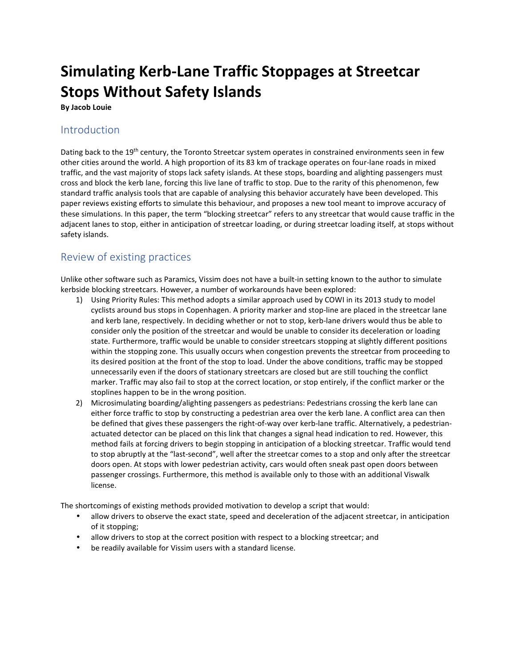# **Simulating Kerb-Lane Traffic Stoppages at Streetcar Stops Without Safety Islands**

**By Jacob Louie** 

### Introduction

Dating back to the 19<sup>th</sup> century, the Toronto Streetcar system operates in constrained environments seen in few other cities around the world. A high proportion of its 83 km of trackage operates on four-lane roads in mixed traffic, and the vast majority of stops lack safety islands. At these stops, boarding and alighting passengers must cross and block the kerb lane, forcing this live lane of traffic to stop. Due to the rarity of this phenomenon, few standard traffic analysis tools that are capable of analysing this behavior accurately have been developed. This paper reviews existing efforts to simulate this behaviour, and proposes a new tool meant to improve accuracy of these simulations. In this paper, the term "blocking streetcar" refers to any streetcar that would cause traffic in the adjacent lanes to stop, either in anticipation of streetcar loading, or during streetcar loading itself, at stops without safety islands.

# Review of existing practices

Unlike other software such as Paramics, Vissim does not have a built-in setting known to the author to simulate kerbside blocking streetcars. However, a number of workarounds have been explored:

- 1) Using Priority Rules: This method adopts a similar approach used by COWI in its 2013 study to model cyclists around bus stops in Copenhagen. A priority marker and stop-line are placed in the streetcar lane and kerb lane, respectively. In deciding whether or not to stop, kerb-lane drivers would thus be able to consider only the position of the streetcar and would be unable to consider its deceleration or loading state. Furthermore, traffic would be unable to consider streetcars stopping at slightly different positions within the stopping zone. This usually occurs when congestion prevents the streetcar from proceeding to its desired position at the front of the stop to load. Under the above conditions, traffic may be stopped unnecessarily even if the doors of stationary streetcars are closed but are still touching the conflict marker. Traffic may also fail to stop at the correct location, or stop entirely, if the conflict marker or the stoplines happen to be in the wrong position.
- 2) Microsimulating boarding/alighting passengers as pedestrians: Pedestrians crossing the kerb lane can either force traffic to stop by constructing a pedestrian area over the kerb lane. A conflict area can then be defined that gives these passengers the right-of-way over kerb-lane traffic. Alternatively, a pedestrianactuated detector can be placed on this link that changes a signal head indication to red. However, this method fails at forcing drivers to begin stopping in anticipation of a blocking streetcar. Traffic would tend to stop abruptly at the "last-second", well after the streetcar comes to a stop and only after the streetcar doors open. At stops with lower pedestrian activity, cars would often sneak past open doors between passenger crossings. Furthermore, this method is available only to those with an additional Viswalk license.

The shortcomings of existing methods provided motivation to develop a script that would:

- allow drivers to observe the exact state, speed and deceleration of the adjacent streetcar, in anticipation of it stopping;
- allow drivers to stop at the correct position with respect to a blocking streetcar; and
- be readily available for Vissim users with a standard license.